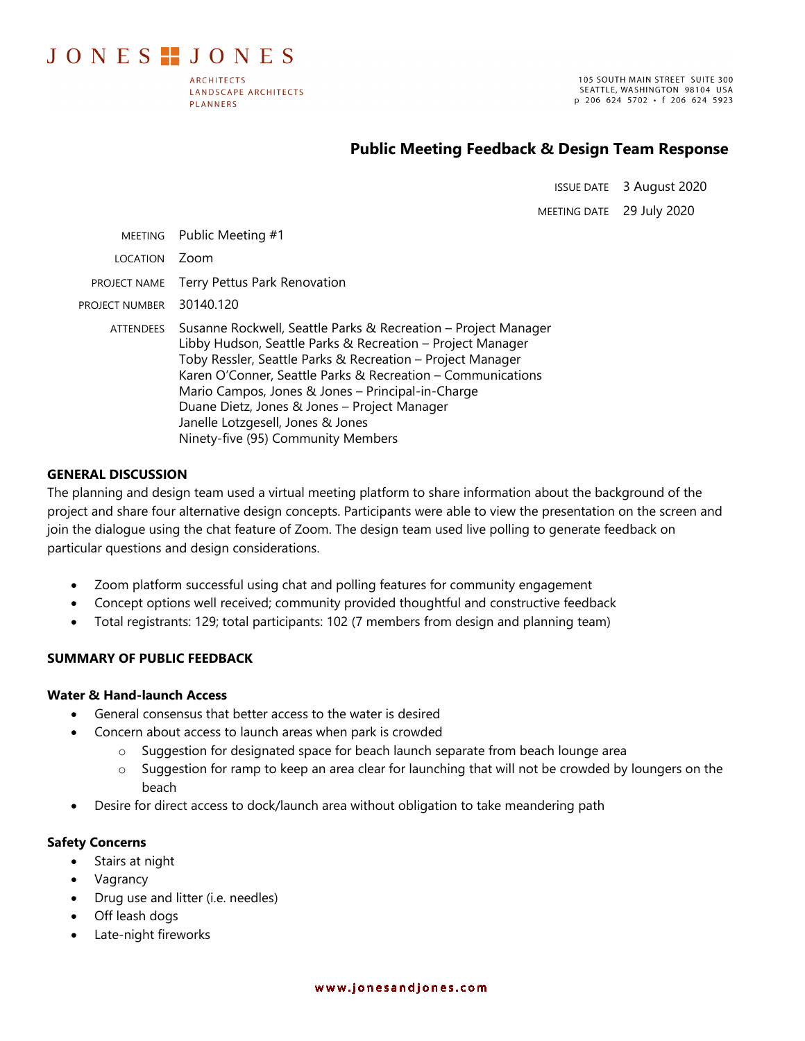# JONES **..** JONES

**ARCHITECTS LANDSCAPE ARCHITECTS PLANNERS** 

105 SOUTH MAIN STREET SUITE 300 SEATTLE, WASHINGTON 98104 USA p 206 624 5702 · f 206 624 5923

# **Public Meeting Feedback & Design Team Response**

ISSUE DATE 3 August 2020

MEETING DATE 29 July 2020

|                  | MEETING Public Meeting #1                                                                                                                                                                                                                                                                                                                                                                                                                 |
|------------------|-------------------------------------------------------------------------------------------------------------------------------------------------------------------------------------------------------------------------------------------------------------------------------------------------------------------------------------------------------------------------------------------------------------------------------------------|
| <b>LOCATION</b>  | Zoom                                                                                                                                                                                                                                                                                                                                                                                                                                      |
| PROJECT NAME     | Terry Pettus Park Renovation                                                                                                                                                                                                                                                                                                                                                                                                              |
| PROJECT NUMBER   | 30140.120                                                                                                                                                                                                                                                                                                                                                                                                                                 |
| <b>ATTENDEES</b> | Susanne Rockwell, Seattle Parks & Recreation – Project Manager<br>Libby Hudson, Seattle Parks & Recreation - Project Manager<br>Toby Ressler, Seattle Parks & Recreation - Project Manager<br>Karen O'Conner, Seattle Parks & Recreation - Communications<br>Mario Campos, Jones & Jones - Principal-in-Charge<br>Duane Dietz, Jones & Jones - Project Manager<br>Janelle Lotzgesell, Jones & Jones<br>Ninety-five (95) Community Members |

#### **GENERAL DISCUSSION**

The planning and design team used a virtual meeting platform to share information about the background of the project and share four alternative design concepts. Participants were able to view the presentation on the screen and join the dialogue using the chat feature of Zoom. The design team used live polling to generate feedback on particular questions and design considerations.

- Zoom platform successful using chat and polling features for community engagement
- Concept options well received; community provided thoughtful and constructive feedback
- Total registrants: 129; total participants: 102 (7 members from design and planning team)

# **SUMMARY OF PUBLIC FEEDBACK**

# **Water & Hand-launch Access**

- General consensus that better access to the water is desired
	- Concern about access to launch areas when park is crowded
		- o Suggestion for designated space for beach launch separate from beach lounge area
		- o Suggestion for ramp to keep an area clear for launching that will not be crowded by loungers on the beach
- Desire for direct access to dock/launch area without obligation to take meandering path

#### **Safety Concerns**

- Stairs at night
- Vagrancy
- Drug use and litter (i.e. needles)
- Off leash dogs
- Late-night fireworks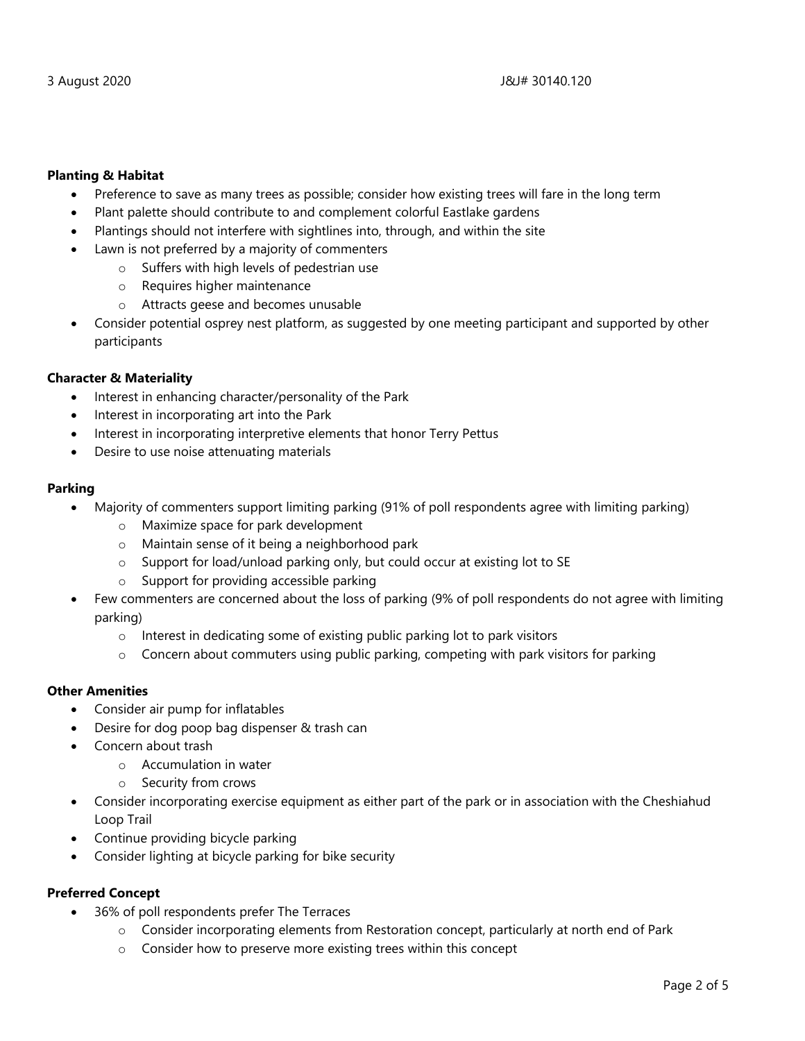# **Planting & Habitat**

- Preference to save as many trees as possible; consider how existing trees will fare in the long term
- Plant palette should contribute to and complement colorful Eastlake gardens
- Plantings should not interfere with sightlines into, through, and within the site
- Lawn is not preferred by a majority of commenters
	- o Suffers with high levels of pedestrian use
	- o Requires higher maintenance
	- o Attracts geese and becomes unusable
- Consider potential osprey nest platform, as suggested by one meeting participant and supported by other participants

# **Character & Materiality**

- Interest in enhancing character/personality of the Park
- Interest in incorporating art into the Park
- Interest in incorporating interpretive elements that honor Terry Pettus
- Desire to use noise attenuating materials

# **Parking**

- Majority of commenters support limiting parking (91% of poll respondents agree with limiting parking)
	- o Maximize space for park development
	- o Maintain sense of it being a neighborhood park
	- o Support for load/unload parking only, but could occur at existing lot to SE
	- o Support for providing accessible parking
- Few commenters are concerned about the loss of parking (9% of poll respondents do not agree with limiting parking)
	- o Interest in dedicating some of existing public parking lot to park visitors
	- $\circ$  Concern about commuters using public parking, competing with park visitors for parking

# **Other Amenities**

- Consider air pump for inflatables
- Desire for dog poop bag dispenser & trash can
- Concern about trash
	- o Accumulation in water
	- o Security from crows
- Consider incorporating exercise equipment as either part of the park or in association with the Cheshiahud Loop Trail
- Continue providing bicycle parking
- Consider lighting at bicycle parking for bike security

# **Preferred Concept**

- 36% of poll respondents prefer The Terraces
	- $\circ$  Consider incorporating elements from Restoration concept, particularly at north end of Park
	- o Consider how to preserve more existing trees within this concept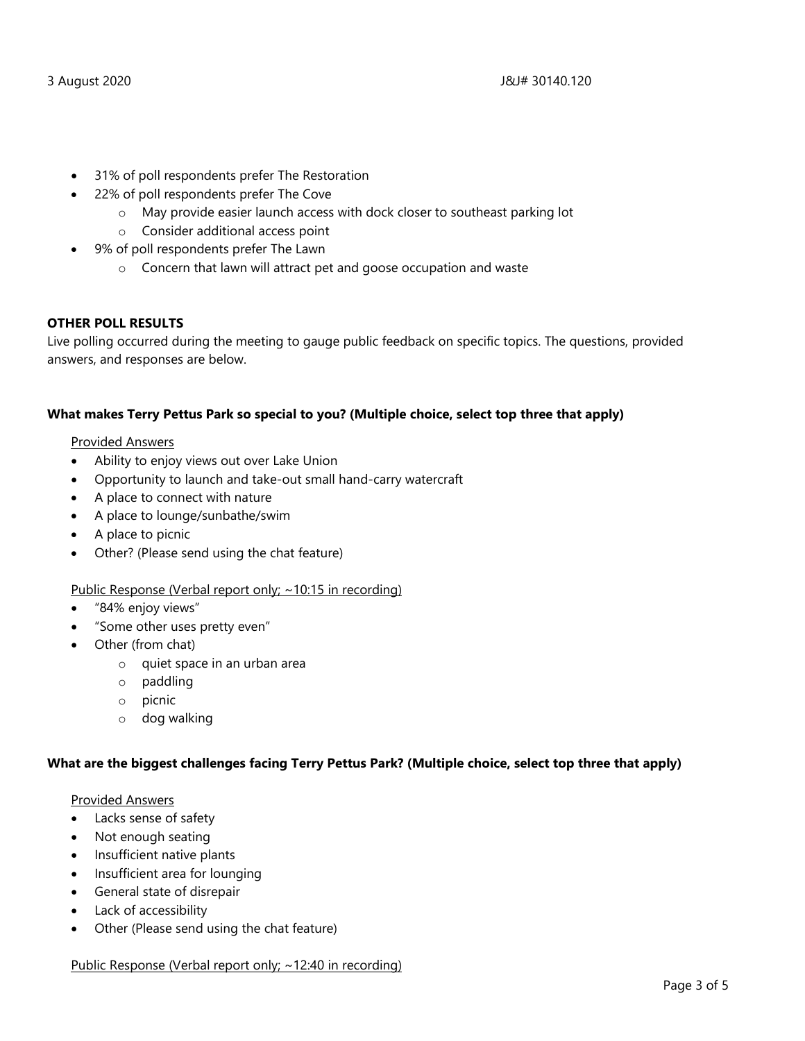- 31% of poll respondents prefer The Restoration
- 22% of poll respondents prefer The Cove
	- o May provide easier launch access with dock closer to southeast parking lot
	- o Consider additional access point
- 9% of poll respondents prefer The Lawn
	- o Concern that lawn will attract pet and goose occupation and waste

#### **OTHER POLL RESULTS**

Live polling occurred during the meeting to gauge public feedback on specific topics. The questions, provided answers, and responses are below.

#### **What makes Terry Pettus Park so special to you? (Multiple choice, select top three that apply)**

#### Provided Answers

- Ability to enjoy views out over Lake Union
- Opportunity to launch and take-out small hand-carry watercraft
- A place to connect with nature
- A place to lounge/sunbathe/swim
- A place to picnic
- Other? (Please send using the chat feature)

#### Public Response (Verbal report only; ~10:15 in recording)

- "84% enjoy views"
- "Some other uses pretty even"
- Other (from chat)
	- o quiet space in an urban area
	- o paddling
	- o picnic
	- o dog walking

#### **What are the biggest challenges facing Terry Pettus Park? (Multiple choice, select top three that apply)**

#### Provided Answers

- Lacks sense of safety
- Not enough seating
- Insufficient native plants
- Insufficient area for lounging
- General state of disrepair
- Lack of accessibility
- Other (Please send using the chat feature)

#### Public Response (Verbal report only; ~12:40 in recording)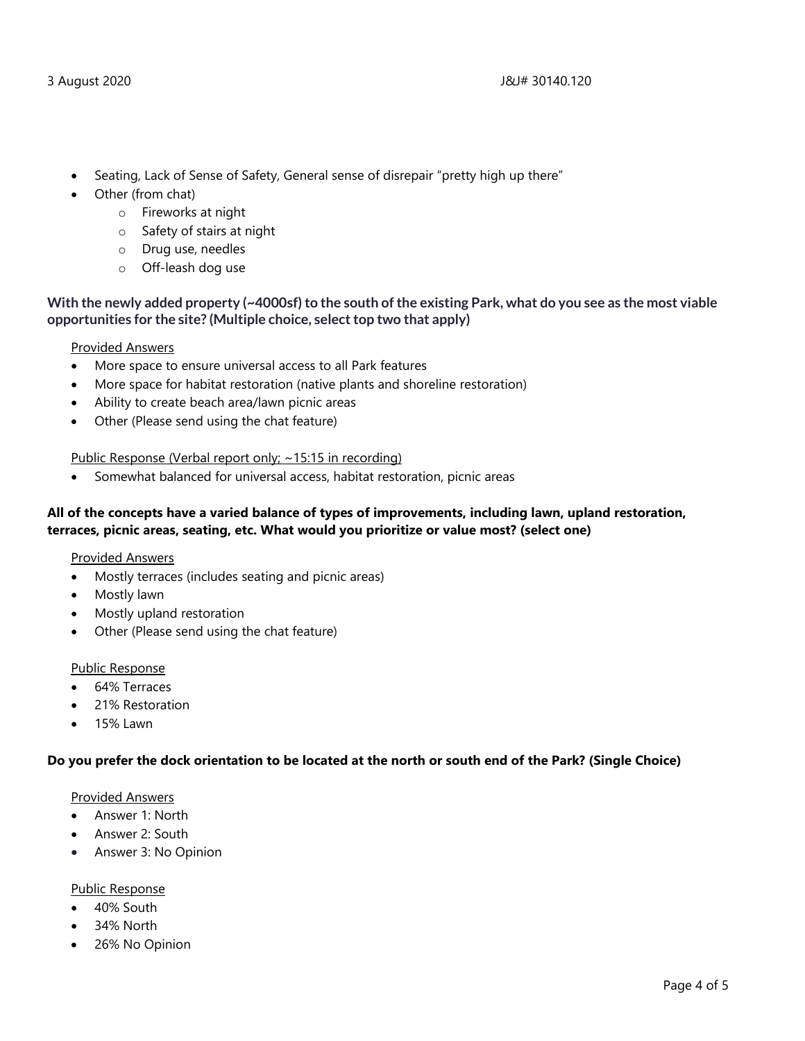- Seating, Lack of Sense of Safety, General sense of disrepair "pretty high up there"
- Other (from chat)
	- o Fireworks at night
	- o Safety of stairs at night
	- o Drug use, needles
	- o Off-leash dog use

# **With the newly added property (~4000sf) to the south of the existing Park, what do you see as the most viable opportunities for the site? (Multiple choice, select top two that apply)**

#### Provided Answers

- More space to ensure universal access to all Park features
- More space for habitat restoration (native plants and shoreline restoration)
- Ability to create beach area/lawn picnic areas
- Other (Please send using the chat feature)

# Public Response (Verbal report only; ~15:15 in recording)

• Somewhat balanced for universal access, habitat restoration, picnic areas

# **All of the concepts have a varied balance of types of improvements, including lawn, upland restoration, terraces, picnic areas, seating, etc. What would you prioritize or value most? (select one)**

#### Provided Answers

- Mostly terraces (includes seating and picnic areas)
- Mostly lawn
- Mostly upland restoration
- Other (Please send using the chat feature)

#### Public Response

- 64% Terraces
- 21% Restoration
- 15% Lawn

#### **Do you prefer the dock orientation to be located at the north or south end of the Park? (Single Choice)**

#### Provided Answers

- Answer 1: North
- Answer 2: South
- Answer 3: No Opinion

#### Public Response

- 40% South
- 34% North
- 26% No Opinion